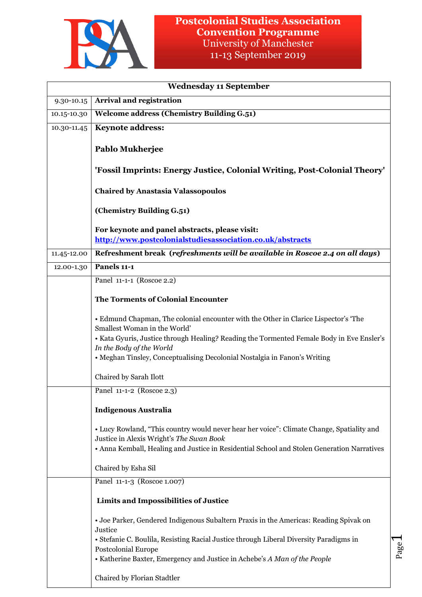

|             | <b>Wednesday 11 September</b>                                                                                                                                                                                                                                                                                             |
|-------------|---------------------------------------------------------------------------------------------------------------------------------------------------------------------------------------------------------------------------------------------------------------------------------------------------------------------------|
| 9.30-10.15  | <b>Arrival and registration</b>                                                                                                                                                                                                                                                                                           |
| 10.15-10.30 | <b>Welcome address (Chemistry Building G.51)</b>                                                                                                                                                                                                                                                                          |
| 10.30-11.45 | <b>Keynote address:</b>                                                                                                                                                                                                                                                                                                   |
|             | Pablo Mukherjee                                                                                                                                                                                                                                                                                                           |
|             | 'Fossil Imprints: Energy Justice, Colonial Writing, Post-Colonial Theory'                                                                                                                                                                                                                                                 |
|             | <b>Chaired by Anastasia Valassopoulos</b>                                                                                                                                                                                                                                                                                 |
|             | (Chemistry Building G.51)                                                                                                                                                                                                                                                                                                 |
|             | For keynote and panel abstracts, please visit:<br>http://www.postcolonialstudiesassociation.co.uk/abstracts                                                                                                                                                                                                               |
| 11.45-12.00 | Refreshment break (refreshments will be available in Roscoe 2.4 on all days)                                                                                                                                                                                                                                              |
| 12.00-1.30  | Panels 11-1                                                                                                                                                                                                                                                                                                               |
|             | Panel 11-1-1 (Roscoe 2.2)                                                                                                                                                                                                                                                                                                 |
|             | <b>The Torments of Colonial Encounter</b>                                                                                                                                                                                                                                                                                 |
|             | • Edmund Chapman, The colonial encounter with the Other in Clarice Lispector's 'The<br>Smallest Woman in the World'                                                                                                                                                                                                       |
|             | . Kata Gyuris, Justice through Healing? Reading the Tormented Female Body in Eve Ensler's<br>In the Body of the World                                                                                                                                                                                                     |
|             | • Meghan Tinsley, Conceptualising Decolonial Nostalgia in Fanon's Writing                                                                                                                                                                                                                                                 |
|             | Chaired by Sarah Ilott                                                                                                                                                                                                                                                                                                    |
|             | Panel 11-1-2 (Roscoe 2.3)                                                                                                                                                                                                                                                                                                 |
|             | <b>Indigenous Australia</b>                                                                                                                                                                                                                                                                                               |
|             | • Lucy Rowland, "This country would never hear her voice": Climate Change, Spatiality and<br>Justice in Alexis Wright's The Swan Book<br>• Anna Kemball, Healing and Justice in Residential School and Stolen Generation Narratives                                                                                       |
|             | Chaired by Esha Sil                                                                                                                                                                                                                                                                                                       |
|             | Panel 11-1-3 (Roscoe 1.007)                                                                                                                                                                                                                                                                                               |
|             | Limits and Impossibilities of Justice                                                                                                                                                                                                                                                                                     |
|             | • Joe Parker, Gendered Indigenous Subaltern Praxis in the Americas: Reading Spivak on<br>Justice<br>• Stefanie C. Boulila, Resisting Racial Justice through Liberal Diversity Paradigms in<br>$P_{\text{app}}$<br><b>Postcolonial Europe</b><br>• Katherine Baxter, Emergency and Justice in Achebe's A Man of the People |
|             | Chaired by Florian Stadtler                                                                                                                                                                                                                                                                                               |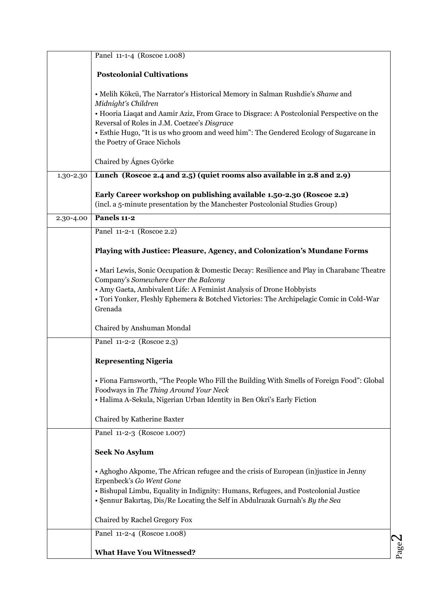|           | Panel 11-1-4 (Roscoe 1.008)                                                                                                                                                                                                                                                                                                                                                |
|-----------|----------------------------------------------------------------------------------------------------------------------------------------------------------------------------------------------------------------------------------------------------------------------------------------------------------------------------------------------------------------------------|
|           | <b>Postcolonial Cultivations</b>                                                                                                                                                                                                                                                                                                                                           |
|           | · Melih Kökcü, The Narrator's Historical Memory in Salman Rushdie's Shame and<br>Midnight's Children<br>• Hooria Liaqat and Aamir Aziz, From Grace to Disgrace: A Postcolonial Perspective on the<br>Reversal of Roles in J.M. Coetzee's Disgrace<br>• Esthie Hugo, "It is us who groom and weed him": The Gendered Ecology of Sugarcane in<br>the Poetry of Grace Nichols |
|           | Chaired by Ágnes Györke                                                                                                                                                                                                                                                                                                                                                    |
| 1.30-2.30 | Lunch (Roscoe 2.4 and 2.5) (quiet rooms also available in 2.8 and 2.9)                                                                                                                                                                                                                                                                                                     |
|           | Early Career workshop on publishing available 1.50-2.30 (Roscoe 2.2)<br>(incl. a 5-minute presentation by the Manchester Postcolonial Studies Group)                                                                                                                                                                                                                       |
| 2.30-4.00 | Panels 11-2                                                                                                                                                                                                                                                                                                                                                                |
|           | Panel 11-2-1 (Roscoe 2.2)                                                                                                                                                                                                                                                                                                                                                  |
|           | Playing with Justice: Pleasure, Agency, and Colonization's Mundane Forms                                                                                                                                                                                                                                                                                                   |
|           | • Mari Lewis, Sonic Occupation & Domestic Decay: Resilience and Play in Charabanc Theatre<br>Company's Somewhere Over the Balcony<br>• Amy Gaeta, Ambivalent Life: A Feminist Analysis of Drone Hobbyists<br>• Tori Yonker, Fleshly Ephemera & Botched Victories: The Archipelagic Comic in Cold-War<br>Grenada                                                            |
|           | Chaired by Anshuman Mondal                                                                                                                                                                                                                                                                                                                                                 |
|           | Panel 11-2-2 (Roscoe 2.3)                                                                                                                                                                                                                                                                                                                                                  |
|           | <b>Representing Nigeria</b>                                                                                                                                                                                                                                                                                                                                                |
|           | • Fiona Farnsworth, "The People Who Fill the Building With Smells of Foreign Food": Global<br>Foodways in The Thing Around Your Neck<br>• Halima A-Sekula, Nigerian Urban Identity in Ben Okri's Early Fiction                                                                                                                                                             |
|           | Chaired by Katherine Baxter                                                                                                                                                                                                                                                                                                                                                |
|           | Panel 11-2-3 (Roscoe 1.007)                                                                                                                                                                                                                                                                                                                                                |
|           | <b>Seek No Asylum</b>                                                                                                                                                                                                                                                                                                                                                      |
|           | • Aghogho Akpome, The African refugee and the crisis of European (in) justice in Jenny<br>Erpenbeck's Go Went Gone<br>· Bishupal Limbu, Equality in Indignity: Humans, Refugees, and Postcolonial Justice<br>• Şennur Bakırtaş, Dis/Re Locating the Self in Abdulrazak Gurnah's By the Sea                                                                                 |
|           | Chaired by Rachel Gregory Fox                                                                                                                                                                                                                                                                                                                                              |
|           | Panel 11-2-4 (Roscoe 1.008)                                                                                                                                                                                                                                                                                                                                                |
|           | <b>What Have You Witnessed?</b>                                                                                                                                                                                                                                                                                                                                            |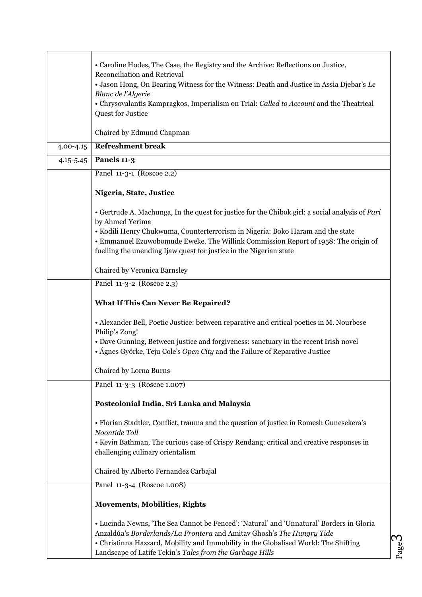|               | • Caroline Hodes, The Case, the Registry and the Archive: Reflections on Justice,<br>Reconciliation and Retrieval                                                                                                                                                                                                    |
|---------------|----------------------------------------------------------------------------------------------------------------------------------------------------------------------------------------------------------------------------------------------------------------------------------------------------------------------|
|               | • Jason Hong, On Bearing Witness for the Witness: Death and Justice in Assia Djebar's Le                                                                                                                                                                                                                             |
|               | Blanc de l'Algerie                                                                                                                                                                                                                                                                                                   |
|               | • Chrysovalantis Kampragkos, Imperialism on Trial: Called to Account and the Theatrical<br>Quest for Justice                                                                                                                                                                                                         |
|               |                                                                                                                                                                                                                                                                                                                      |
|               | Chaired by Edmund Chapman                                                                                                                                                                                                                                                                                            |
| 4.00-4.15     | <b>Refreshment break</b>                                                                                                                                                                                                                                                                                             |
| $4.15 - 5.45$ | Panels 11-3                                                                                                                                                                                                                                                                                                          |
|               | Panel 11-3-1 (Roscoe 2.2)                                                                                                                                                                                                                                                                                            |
|               | Nigeria, State, Justice                                                                                                                                                                                                                                                                                              |
|               | • Gertrude A. Machunga, In the quest for justice for the Chibok girl: a social analysis of Pari<br>by Ahmed Yerima                                                                                                                                                                                                   |
|               | · Kodili Henry Chukwuma, Counterterrorism in Nigeria: Boko Haram and the state                                                                                                                                                                                                                                       |
|               | • Emmanuel Ezuwobomude Eweke, The Willink Commission Report of 1958: The origin of<br>fuelling the unending Ijaw quest for justice in the Nigerian state                                                                                                                                                             |
|               |                                                                                                                                                                                                                                                                                                                      |
|               | Chaired by Veronica Barnsley                                                                                                                                                                                                                                                                                         |
|               | Panel 11-3-2 (Roscoe 2.3)                                                                                                                                                                                                                                                                                            |
|               | <b>What If This Can Never Be Repaired?</b>                                                                                                                                                                                                                                                                           |
|               | • Alexander Bell, Poetic Justice: between reparative and critical poetics in M. Nourbese                                                                                                                                                                                                                             |
|               | Philip's Zong!                                                                                                                                                                                                                                                                                                       |
|               | • Dave Gunning, Between justice and forgiveness: sanctuary in the recent Irish novel<br>• Ágnes Györke, Teju Cole's Open City and the Failure of Reparative Justice                                                                                                                                                  |
|               |                                                                                                                                                                                                                                                                                                                      |
|               | Chaired by Lorna Burns                                                                                                                                                                                                                                                                                               |
|               | Panel 11-3-3 (Roscoe 1.007)                                                                                                                                                                                                                                                                                          |
|               | Postcolonial India, Sri Lanka and Malaysia                                                                                                                                                                                                                                                                           |
|               | • Florian Stadtler, Conflict, trauma and the question of justice in Romesh Gunesekera's<br>Noontide Toll                                                                                                                                                                                                             |
|               | • Kevin Bathman, The curious case of Crispy Rendang: critical and creative responses in                                                                                                                                                                                                                              |
|               | challenging culinary orientalism                                                                                                                                                                                                                                                                                     |
|               | Chaired by Alberto Fernandez Carbajal                                                                                                                                                                                                                                                                                |
|               | Panel 11-3-4 (Roscoe 1.008)                                                                                                                                                                                                                                                                                          |
|               | <b>Movements, Mobilities, Rights</b>                                                                                                                                                                                                                                                                                 |
|               | • Lucinda Newns, 'The Sea Cannot be Fenced': 'Natural' and 'Unnatural' Borders in Gloria<br>Anzaldúa's Borderlands/La Frontera and Amitav Ghosh's The Hungry Tide<br>• Christinna Hazzard, Mobility and Immobility in the Globalised World: The Shifting<br>Landscape of Latife Tekin's Tales from the Garbage Hills |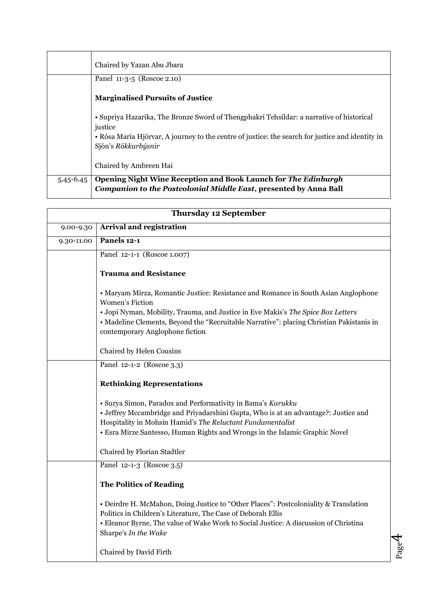|               | Chaired by Yazan Abu Jbara                                                                                                          |
|---------------|-------------------------------------------------------------------------------------------------------------------------------------|
|               | Panel 11-3-5 (Roscoe 2.10)                                                                                                          |
|               | <b>Marginalised Pursuits of Justice</b>                                                                                             |
|               | • Supriya Hazarika, The Bronze Sword of Thengphakri Tehsildar: a narrative of historical<br>justice                                 |
|               | • Rósa María Hjörvar, A journey to the centre of justice: the search for justice and identity in<br>Sjón's Rökkurbýsnir             |
|               | Chaired by Ambreen Hai                                                                                                              |
| $5.45 - 6.45$ | Opening Night Wine Reception and Book Launch for The Edinburgh<br>Companion to the Postcolonial Middle East, presented by Anna Ball |

|            | <b>Thursday 12 September</b>                                                                                                                                                                                                                                                                                             |                  |
|------------|--------------------------------------------------------------------------------------------------------------------------------------------------------------------------------------------------------------------------------------------------------------------------------------------------------------------------|------------------|
| 9.00-9.30  | <b>Arrival and registration</b>                                                                                                                                                                                                                                                                                          |                  |
| 9.30-11.00 | Panels 12-1                                                                                                                                                                                                                                                                                                              |                  |
|            | Panel 12-1-1 (Roscoe 1.007)                                                                                                                                                                                                                                                                                              |                  |
|            | <b>Trauma and Resistance</b>                                                                                                                                                                                                                                                                                             |                  |
|            | • Maryam Mirza, Romantic Justice: Resistance and Romance in South Asian Anglophone<br>Women's Fiction<br>· Jopi Nyman, Mobility, Trauma, and Justice in Eve Makis's The Spice Box Letters<br>• Madeline Clements, Beyond the "Recruitable Narrative": placing Christian Pakistanis in<br>contemporary Anglophone fiction |                  |
|            | Chaired by Helen Cousins                                                                                                                                                                                                                                                                                                 |                  |
|            | Panel 12-1-2 (Roscoe 3.3)                                                                                                                                                                                                                                                                                                |                  |
|            | <b>Rethinking Representations</b>                                                                                                                                                                                                                                                                                        |                  |
|            | · Surya Simon, Paradox and Performativity in Bama's Karukku<br>• Jeffrey Mccambridge and Priyadarshini Gupta, Who is at an advantage?: Justice and<br>Hospitality in Mohsin Hamid's The Reluctant Fundamentalist<br>• Esra Mirze Santesso, Human Rights and Wrongs in the Islamic Graphic Novel                          |                  |
|            | Chaired by Florian Stadtler                                                                                                                                                                                                                                                                                              |                  |
|            | Panel 12-1-3 (Roscoe 3.5)                                                                                                                                                                                                                                                                                                |                  |
|            | <b>The Politics of Reading</b>                                                                                                                                                                                                                                                                                           |                  |
|            | • Deirdre H. McMahon, Doing Justice to "Other Places": Postcoloniality & Translation<br>Politics in Children's Literature, The Case of Deborah Ellis<br>· Eleanor Byrne, The value of Wake Work to Social Justice: A discussion of Christina<br>Sharpe's In the Wake                                                     |                  |
|            | Chaired by David Firth                                                                                                                                                                                                                                                                                                   | $P_{\text{app}}$ |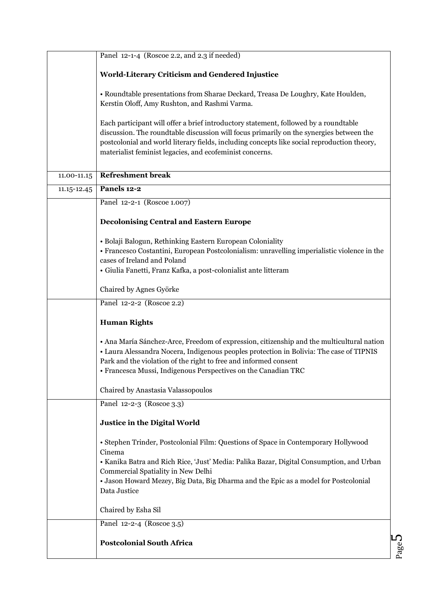|             | Panel 12-1-4 (Roscoe 2.2, and 2.3 if needed)                                                                                                                                                                                                                                                                                               |
|-------------|--------------------------------------------------------------------------------------------------------------------------------------------------------------------------------------------------------------------------------------------------------------------------------------------------------------------------------------------|
|             | World-Literary Criticism and Gendered Injustice                                                                                                                                                                                                                                                                                            |
|             | • Roundtable presentations from Sharae Deckard, Treasa De Loughry, Kate Houlden,<br>Kerstin Oloff, Amy Rushton, and Rashmi Varma.                                                                                                                                                                                                          |
|             | Each participant will offer a brief introductory statement, followed by a roundtable<br>discussion. The roundtable discussion will focus primarily on the synergies between the<br>postcolonial and world literary fields, including concepts like social reproduction theory,<br>materialist feminist legacies, and ecofeminist concerns. |
| 11.00-11.15 | <b>Refreshment break</b>                                                                                                                                                                                                                                                                                                                   |
| 11.15-12.45 | Panels 12-2                                                                                                                                                                                                                                                                                                                                |
|             | Panel 12-2-1 (Roscoe 1.007)                                                                                                                                                                                                                                                                                                                |
|             | <b>Decolonising Central and Eastern Europe</b>                                                                                                                                                                                                                                                                                             |
|             | · Bolaji Balogun, Rethinking Eastern European Coloniality<br>• Francesco Costantini, European Postcolonialism: unravelling imperialistic violence in the<br>cases of Ireland and Poland<br>· Giulia Fanetti, Franz Kafka, a post-colonialist ante litteram                                                                                 |
|             | Chaired by Agnes Györke                                                                                                                                                                                                                                                                                                                    |
|             | Panel 12-2-2 (Roscoe 2.2)                                                                                                                                                                                                                                                                                                                  |
|             | <b>Human Rights</b>                                                                                                                                                                                                                                                                                                                        |
|             | • Ana María Sánchez-Arce, Freedom of expression, citizenship and the multicultural nation<br>• Laura Alessandra Nocera, Indigenous peoples protection in Bolivia: The case of TIPNIS<br>Park and the violation of the right to free and informed consent<br>· Francesca Mussi, Indigenous Perspectives on the Canadian TRC                 |
|             | Chaired by Anastasia Valassopoulos                                                                                                                                                                                                                                                                                                         |
|             | Panel 12-2-3 (Roscoe 3.3)                                                                                                                                                                                                                                                                                                                  |
|             | Justice in the Digital World                                                                                                                                                                                                                                                                                                               |
|             | • Stephen Trinder, Postcolonial Film: Questions of Space in Contemporary Hollywood<br>Cinema<br>• Kanika Batra and Rich Rice, 'Just' Media: Palika Bazar, Digital Consumption, and Urban<br>Commercial Spatiality in New Delhi<br>• Jason Howard Mezey, Big Data, Big Dharma and the Epic as a model for Postcolonial<br>Data Justice      |
|             | Chaired by Esha Sil                                                                                                                                                                                                                                                                                                                        |
|             | Panel 12-2-4 (Roscoe 3.5)                                                                                                                                                                                                                                                                                                                  |
|             | <b>Postcolonial South Africa</b>                                                                                                                                                                                                                                                                                                           |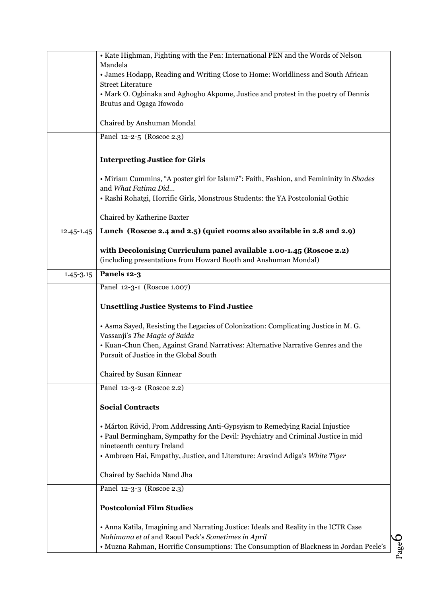|               | • Kate Highman, Fighting with the Pen: International PEN and the Words of Nelson                                                                                                                                                                                               |
|---------------|--------------------------------------------------------------------------------------------------------------------------------------------------------------------------------------------------------------------------------------------------------------------------------|
|               | Mandela<br>• James Hodapp, Reading and Writing Close to Home: Worldliness and South African                                                                                                                                                                                    |
|               | <b>Street Literature</b>                                                                                                                                                                                                                                                       |
|               | • Mark O. Ogbinaka and Aghogho Akpome, Justice and protest in the poetry of Dennis<br>Brutus and Ogaga Ifowodo                                                                                                                                                                 |
|               | Chaired by Anshuman Mondal                                                                                                                                                                                                                                                     |
|               | Panel 12-2-5 (Roscoe 2.3)                                                                                                                                                                                                                                                      |
|               | <b>Interpreting Justice for Girls</b>                                                                                                                                                                                                                                          |
|               | • Miriam Cummins, "A poster girl for Islam?": Faith, Fashion, and Femininity in Shades<br>and What Fatima Did<br>• Rashi Rohatgi, Horrific Girls, Monstrous Students: the YA Postcolonial Gothic                                                                               |
|               | Chaired by Katherine Baxter                                                                                                                                                                                                                                                    |
| 12.45-1.45    | Lunch (Roscoe 2.4 and 2.5) (quiet rooms also available in 2.8 and 2.9)                                                                                                                                                                                                         |
|               | with Decolonising Curriculum panel available 1.00-1.45 (Roscoe 2.2)<br>(including presentations from Howard Booth and Anshuman Mondal)                                                                                                                                         |
| $1.45 - 3.15$ | Panels 12-3                                                                                                                                                                                                                                                                    |
|               | Panel 12-3-1 (Roscoe 1.007)                                                                                                                                                                                                                                                    |
|               | <b>Unsettling Justice Systems to Find Justice</b>                                                                                                                                                                                                                              |
|               | • Asma Sayed, Resisting the Legacies of Colonization: Complicating Justice in M. G.<br>Vassanji's The Magic of Saida                                                                                                                                                           |
|               | • Kuan-Chun Chen, Against Grand Narratives: Alternative Narrative Genres and the<br>Pursuit of Justice in the Global South                                                                                                                                                     |
|               | Chaired by Susan Kinnear                                                                                                                                                                                                                                                       |
|               | Panel 12-3-2 (Roscoe 2.2)                                                                                                                                                                                                                                                      |
|               | <b>Social Contracts</b>                                                                                                                                                                                                                                                        |
|               | • Márton Rövid, From Addressing Anti-Gypsyism to Remedying Racial Injustice<br>• Paul Bermingham, Sympathy for the Devil: Psychiatry and Criminal Justice in mid<br>nineteenth century Ireland<br>• Ambreen Hai, Empathy, Justice, and Literature: Aravind Adiga's White Tiger |
|               | Chaired by Sachida Nand Jha                                                                                                                                                                                                                                                    |
|               | Panel 12-3-3 (Roscoe 2.3)                                                                                                                                                                                                                                                      |
|               | <b>Postcolonial Film Studies</b>                                                                                                                                                                                                                                               |
|               | • Anna Katila, Imagining and Narrating Justice: Ideals and Reality in the ICTR Case<br>Nahimana et al and Raoul Peck's Sometimes in April<br>$\mathbf C$<br>• Muzna Rahman, Horrific Consumptions: The Consumption of Blackness in Jordan Peele's                              |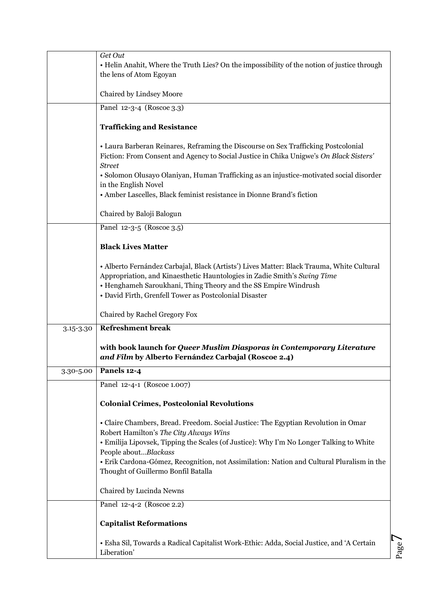|           | Get Out                                                                                                                                                                                                                                                                                            |
|-----------|----------------------------------------------------------------------------------------------------------------------------------------------------------------------------------------------------------------------------------------------------------------------------------------------------|
|           | • Helin Anahit, Where the Truth Lies? On the impossibility of the notion of justice through<br>the lens of Atom Egoyan                                                                                                                                                                             |
|           | Chaired by Lindsey Moore                                                                                                                                                                                                                                                                           |
|           | Panel 12-3-4 (Roscoe 3.3)                                                                                                                                                                                                                                                                          |
|           | <b>Trafficking and Resistance</b>                                                                                                                                                                                                                                                                  |
|           | • Laura Barberan Reinares, Reframing the Discourse on Sex Trafficking Postcolonial<br>Fiction: From Consent and Agency to Social Justice in Chika Unigwe's On Black Sisters'<br><b>Street</b>                                                                                                      |
|           | • Solomon Olusayo Olaniyan, Human Trafficking as an injustice-motivated social disorder<br>in the English Novel                                                                                                                                                                                    |
|           | • Amber Lascelles, Black feminist resistance in Dionne Brand's fiction                                                                                                                                                                                                                             |
|           | Chaired by Baloji Balogun                                                                                                                                                                                                                                                                          |
|           | Panel 12-3-5 (Roscoe 3.5)                                                                                                                                                                                                                                                                          |
|           | <b>Black Lives Matter</b>                                                                                                                                                                                                                                                                          |
|           | • Alberto Fernández Carbajal, Black (Artists') Lives Matter: Black Trauma, White Cultural<br>Appropriation, and Kinaesthetic Hauntologies in Zadie Smith's Swing Time<br>• Henghameh Saroukhani, Thing Theory and the SS Empire Windrush<br>• David Firth, Grenfell Tower as Postcolonial Disaster |
|           | Chaired by Rachel Gregory Fox                                                                                                                                                                                                                                                                      |
| 3.15-3.30 | <b>Refreshment break</b>                                                                                                                                                                                                                                                                           |
|           | with book launch for Queer Muslim Diasporas in Contemporary Literature<br>and Film by Alberto Fernández Carbajal (Roscoe 2.4)                                                                                                                                                                      |
| 3.30-5.00 | Panels 12-4                                                                                                                                                                                                                                                                                        |
|           | Panel 12-4-1 (Roscoe 1.007)                                                                                                                                                                                                                                                                        |
|           | <b>Colonial Crimes, Postcolonial Revolutions</b>                                                                                                                                                                                                                                                   |
|           | · Claire Chambers, Bread. Freedom. Social Justice: The Egyptian Revolution in Omar<br>Robert Hamilton's The City Always Wins<br>• Emilija Lipovsek, Tipping the Scales (of Justice): Why I'm No Longer Talking to White                                                                            |
|           | People aboutBlackass<br>• Erik Cardona-Gómez, Recognition, not Assimilation: Nation and Cultural Pluralism in the                                                                                                                                                                                  |
|           | Thought of Guillermo Bonfil Batalla                                                                                                                                                                                                                                                                |
|           | Chaired by Lucinda Newns                                                                                                                                                                                                                                                                           |
|           | Panel 12-4-2 (Roscoe 2.2)                                                                                                                                                                                                                                                                          |
|           | <b>Capitalist Reformations</b>                                                                                                                                                                                                                                                                     |
|           | • Esha Sil, Towards a Radical Capitalist Work-Ethic: Adda, Social Justice, and 'A Certain<br>Liberation'                                                                                                                                                                                           |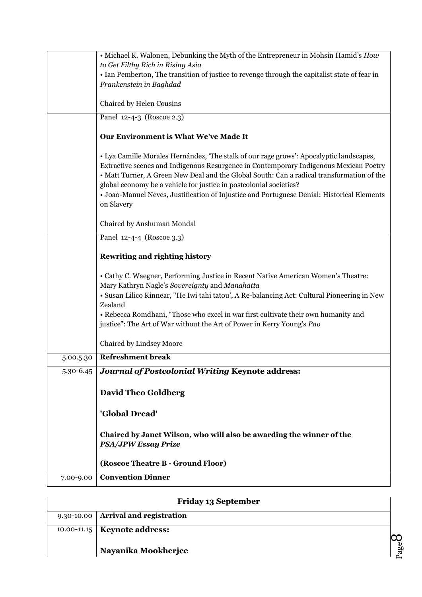|               | • Michael K. Walonen, Debunking the Myth of the Entrepreneur in Mohsin Hamid's How                                                                                                                                                                                                                                                                                                                                                                              |
|---------------|-----------------------------------------------------------------------------------------------------------------------------------------------------------------------------------------------------------------------------------------------------------------------------------------------------------------------------------------------------------------------------------------------------------------------------------------------------------------|
|               | to Get Filthy Rich in Rising Asia                                                                                                                                                                                                                                                                                                                                                                                                                               |
|               | • Ian Pemberton, The transition of justice to revenge through the capitalist state of fear in<br>Frankenstein in Baghdad                                                                                                                                                                                                                                                                                                                                        |
|               |                                                                                                                                                                                                                                                                                                                                                                                                                                                                 |
|               | Chaired by Helen Cousins                                                                                                                                                                                                                                                                                                                                                                                                                                        |
|               | Panel 12-4-3 (Roscoe 2.3)                                                                                                                                                                                                                                                                                                                                                                                                                                       |
|               | Our Environment is What We've Made It                                                                                                                                                                                                                                                                                                                                                                                                                           |
|               | • Lya Camille Morales Hernández, 'The stalk of our rage grows': Apocalyptic landscapes,<br>Extractive scenes and Indigenous Resurgence in Contemporary Indigenous Mexican Poetry<br>• Matt Turner, A Green New Deal and the Global South: Can a radical transformation of the<br>global economy be a vehicle for justice in postcolonial societies?<br>• Joao-Manuel Neves, Justification of Injustice and Portuguese Denial: Historical Elements<br>on Slavery |
|               | Chaired by Anshuman Mondal                                                                                                                                                                                                                                                                                                                                                                                                                                      |
|               | Panel 12-4-4 (Roscoe 3.3)                                                                                                                                                                                                                                                                                                                                                                                                                                       |
|               | <b>Rewriting and righting history</b>                                                                                                                                                                                                                                                                                                                                                                                                                           |
|               | • Cathy C. Waegner, Performing Justice in Recent Native American Women's Theatre:                                                                                                                                                                                                                                                                                                                                                                               |
|               | Mary Kathryn Nagle's Sovereignty and Manahatta                                                                                                                                                                                                                                                                                                                                                                                                                  |
|               | · Susan Lilico Kinnear, "He Iwi tahi tatou', A Re-balancing Act: Cultural Pioneering in New                                                                                                                                                                                                                                                                                                                                                                     |
|               | Zealand                                                                                                                                                                                                                                                                                                                                                                                                                                                         |
|               | • Rebecca Romdhani, "Those who excel in war first cultivate their own humanity and<br>justice": The Art of War without the Art of Power in Kerry Young's Pao                                                                                                                                                                                                                                                                                                    |
|               |                                                                                                                                                                                                                                                                                                                                                                                                                                                                 |
|               | Chaired by Lindsey Moore                                                                                                                                                                                                                                                                                                                                                                                                                                        |
| 5.00.5.30     | <b>Refreshment break</b>                                                                                                                                                                                                                                                                                                                                                                                                                                        |
| $5.30 - 6.45$ | <b>Journal of Postcolonial Writing Keynote address:</b>                                                                                                                                                                                                                                                                                                                                                                                                         |
|               | <b>David Theo Goldberg</b>                                                                                                                                                                                                                                                                                                                                                                                                                                      |
|               |                                                                                                                                                                                                                                                                                                                                                                                                                                                                 |
|               | 'Global Dread'                                                                                                                                                                                                                                                                                                                                                                                                                                                  |
|               | Chaired by Janet Wilson, who will also be awarding the winner of the<br><b>PSA/JPW Essay Prize</b>                                                                                                                                                                                                                                                                                                                                                              |
|               | (Roscoe Theatre B - Ground Floor)                                                                                                                                                                                                                                                                                                                                                                                                                               |
| 7.00-9.00     | <b>Convention Dinner</b>                                                                                                                                                                                                                                                                                                                                                                                                                                        |

| <b>Friday 13 September</b>          |    |
|-------------------------------------|----|
| 9.30-10.00 Arrival and registration |    |
| 10.00-11.15   Keynote address:      |    |
| Nayanika Mookherjee                 | 60 |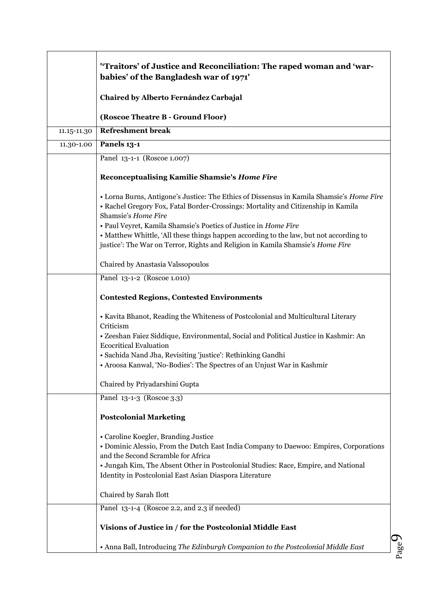|             | "Traitors' of Justice and Reconciliation: The raped woman and 'war-<br>babies' of the Bangladesh war of 1971'                                                                                                                                                                                                        |
|-------------|----------------------------------------------------------------------------------------------------------------------------------------------------------------------------------------------------------------------------------------------------------------------------------------------------------------------|
|             | Chaired by Alberto Fernández Carbajal                                                                                                                                                                                                                                                                                |
|             | (Roscoe Theatre B - Ground Floor)                                                                                                                                                                                                                                                                                    |
| 11.15-11.30 | <b>Refreshment break</b>                                                                                                                                                                                                                                                                                             |
| 11.30-1.00  | Panels 13-1                                                                                                                                                                                                                                                                                                          |
|             | Panel 13-1-1 (Roscoe 1.007)                                                                                                                                                                                                                                                                                          |
|             | Reconceptualising Kamilie Shamsie's Home Fire                                                                                                                                                                                                                                                                        |
|             | • Lorna Burns, Antigone's Justice: The Ethics of Dissensus in Kamila Shamsie's Home Fire<br>• Rachel Gregory Fox, Fatal Border-Crossings: Mortality and Citizenship in Kamila<br>Shamsie's Home Fire                                                                                                                 |
|             | • Paul Veyret, Kamila Shamsie's Poetics of Justice in Home Fire<br>• Matthew Whittle, 'All these things happen according to the law, but not according to<br>justice': The War on Terror, Rights and Religion in Kamila Shamsie's Home Fire                                                                          |
|             | Chaired by Anastasia Valssopoulos                                                                                                                                                                                                                                                                                    |
|             | Panel 13-1-2 (Roscoe 1.010)                                                                                                                                                                                                                                                                                          |
|             | <b>Contested Regions, Contested Environments</b>                                                                                                                                                                                                                                                                     |
|             | • Kavita Bhanot, Reading the Whiteness of Postcolonial and Multicultural Literary<br>Criticism                                                                                                                                                                                                                       |
|             | · Zeeshan Faiez Siddique, Environmental, Social and Political Justice in Kashmir: An<br><b>Ecocritical Evaluation</b>                                                                                                                                                                                                |
|             | · Sachida Nand Jha, Revisiting 'justice': Rethinking Gandhi<br>• Aroosa Kanwal, 'No-Bodies': The Spectres of an Unjust War in Kashmir                                                                                                                                                                                |
|             |                                                                                                                                                                                                                                                                                                                      |
|             | Chaired by Priyadarshini Gupta                                                                                                                                                                                                                                                                                       |
|             | Panel 13-1-3 (Roscoe 3.3)                                                                                                                                                                                                                                                                                            |
|             | <b>Postcolonial Marketing</b>                                                                                                                                                                                                                                                                                        |
|             | • Caroline Koegler, Branding Justice<br>• Dominic Alessio, From the Dutch East India Company to Daewoo: Empires, Corporations<br>and the Second Scramble for Africa<br>• Jungah Kim, The Absent Other in Postcolonial Studies: Race, Empire, and National<br>Identity in Postcolonial East Asian Diaspora Literature |
|             | Chaired by Sarah Ilott                                                                                                                                                                                                                                                                                               |
|             | Panel 13-1-4 (Roscoe 2.2, and 2.3 if needed)                                                                                                                                                                                                                                                                         |
|             | Visions of Justice in / for the Postcolonial Middle East                                                                                                                                                                                                                                                             |
|             | . Anna Ball, Introducing The Edinburgh Companion to the Postcolonial Middle East                                                                                                                                                                                                                                     |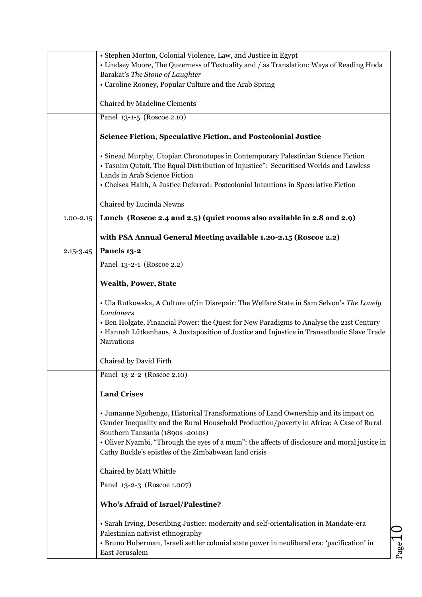|               | • Stephen Morton, Colonial Violence, Law, and Justice in Egypt                                                             |
|---------------|----------------------------------------------------------------------------------------------------------------------------|
|               | • Lindsey Moore, The Queerness of Textuality and / as Translation: Ways of Reading Hoda<br>Barakat's The Stone of Laughter |
|               | • Caroline Rooney, Popular Culture and the Arab Spring                                                                     |
|               | Chaired by Madeline Clements                                                                                               |
|               | Panel 13-1-5 (Roscoe 2.10)                                                                                                 |
|               |                                                                                                                            |
|               | Science Fiction, Speculative Fiction, and Postcolonial Justice                                                             |
|               | • Sinead Murphy, Utopian Chronotopes in Contemporary Palestinian Science Fiction                                           |
|               | • Tasnim Qutait, The Equal Distribution of Injustice": Securitised Worlds and Lawless                                      |
|               | Lands in Arab Science Fiction                                                                                              |
|               | • Chelsea Haith, A Justice Deferred: Postcolonial Intentions in Speculative Fiction                                        |
|               | Chaired by Lucinda Newns                                                                                                   |
| $1.00 - 2.15$ | Lunch (Roscoe 2.4 and 2.5) (quiet rooms also available in 2.8 and 2.9)                                                     |
|               | with PSA Annual General Meeting available 1.20-2.15 (Roscoe 2.2)                                                           |
| $2.15 - 3.45$ | Panels 13-2                                                                                                                |
|               | Panel 13-2-1 (Roscoe 2.2)                                                                                                  |
|               | <b>Wealth, Power, State</b>                                                                                                |
|               |                                                                                                                            |
|               | • Ula Rutkowska, A Culture of/in Disrepair: The Welfare State in Sam Selvon's The Lonely<br>Londoners                      |
|               | • Ben Holgate, Financial Power: the Quest for New Paradigms to Analyse the 21st Century                                    |
|               | • Hannah Lütkenhaus, A Juxtaposition of Justice and Injustice in Transatlantic Slave Trade                                 |
|               | <b>Narrations</b>                                                                                                          |
|               | Chaired by David Firth                                                                                                     |
|               | Panel 13-2-2 (Roscoe 2.10)                                                                                                 |
|               | <b>Land Crises</b>                                                                                                         |
|               | • Jumanne Ngohengo, Historical Transformations of Land Ownership and its impact on                                         |
|               | Gender Inequality and the Rural Household Production/poverty in Africa: A Case of Rural                                    |
|               | Southern Tanzania (1890s -2010s)                                                                                           |
|               | · Oliver Nyambi, "Through the eyes of a mum": the affects of disclosure and moral justice in                               |
|               | Cathy Buckle's epistles of the Zimbabwean land crisis                                                                      |
|               | Chaired by Matt Whittle                                                                                                    |
|               | Panel 13-2-3 (Roscoe 1.007)                                                                                                |
|               | <b>Who's Afraid of Israel/Palestine?</b>                                                                                   |
|               | · Sarah Irving, Describing Justice: modernity and self-orientalisation in Mandate-era                                      |
|               | Palestinian nativist ethnography                                                                                           |
|               | · Bruno Huberman, Israeli settler colonial state power in neoliberal era: 'pacification' in                                |
|               | $_{\rm Page}1$<br>East Jerusalem                                                                                           |